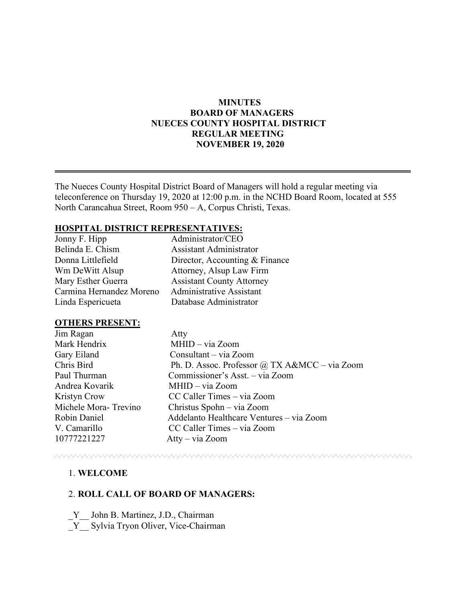## **MINUTES BOARD OF MANAGERS NUECES COUNTY HOSPITAL DISTRICT REGULAR MEETING NOVEMBER 19, 2020**

The Nueces County Hospital District Board of Managers will hold a regular meeting via teleconference on Thursday 19, 2020 at 12:00 p.m. in the NCHD Board Room, located at 555 North Carancahua Street, Room 950 – A, Corpus Christi, Texas.

## **HOSPITAL DISTRICT REPRESENTATIVES:**

| Jonny F. Hipp            | Administrator/CEO                |
|--------------------------|----------------------------------|
| Belinda E. Chism         | <b>Assistant Administrator</b>   |
| Donna Littlefield        | Director, Accounting & Finance   |
| Wm DeWitt Alsup          | Attorney, Alsup Law Firm         |
| Mary Esther Guerra       | <b>Assistant County Attorney</b> |
| Carmina Hernandez Moreno | Administrative Assistant         |
| Linda Espericueta        | Database Administrator           |

#### **OTHERS PRESENT:**

| Jim Ragan            | Atty                                          |
|----------------------|-----------------------------------------------|
| Mark Hendrix         | MHID - via Zoom                               |
| Gary Eiland          | Consultant – via Zoom                         |
| Chris Bird           | Ph. D. Assoc. Professor @ TX A&MCC - via Zoom |
| Paul Thurman         | Commissioner's Asst. - via Zoom               |
| Andrea Kovarik       | MHID - via Zoom                               |
| Kristyn Crow         | CC Caller Times – via Zoom                    |
| Michele Mora-Trevino | Christus Spohn – via Zoom                     |
| Robin Daniel         | Addelanto Healthcare Ventures – via Zoom      |
| V. Camarillo         | CC Caller Times – via Zoom                    |
| 10777221227          | Atty – via Zoom                               |
|                      |                                               |

<u>MAMMAMAMA</u> www.www.www.www.www.www.www.www.ww

# 1. **WELCOME**

#### 2. **ROLL CALL OF BOARD OF MANAGERS:**

Y John B. Martinez, J.D., Chairman \_Y\_\_ Sylvia Tryon Oliver, Vice-Chairman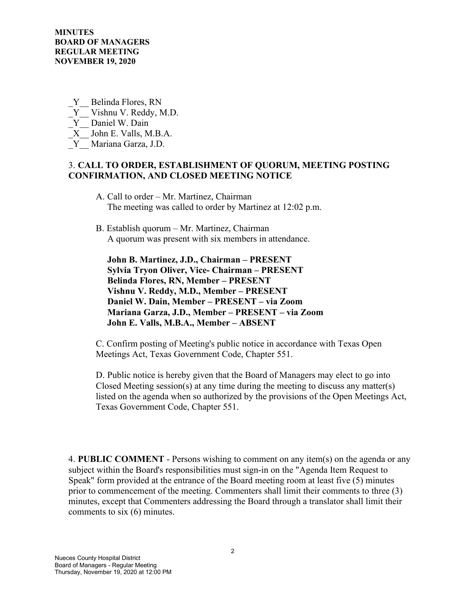**MINUTES BOARD OF MANAGERS REGULAR MEETING NOVEMBER 19, 2020**

- \_Y\_\_ Belinda Flores, RN
- Y Vishnu V. Reddy, M.D.
- Y Daniel W. Dain
- \_X\_\_ John E. Valls, M.B.A.

Y Mariana Garza, J.D.

## 3. **CALL TO ORDER, ESTABLISHMENT OF QUORUM, MEETING POSTING CONFIRMATION, AND CLOSED MEETING NOTICE**

- A. Call to order Mr. Martinez, Chairman The meeting was called to order by Martinez at 12:02 p.m.
- B. Establish quorum Mr. Martinez, Chairman A quorum was present with six members in attendance.

 **John B. Martinez, J.D., Chairman – PRESENT Sylvia Tryon Oliver, Vice- Chairman – PRESENT Belinda Flores, RN, Member – PRESENT Vishnu V. Reddy, M.D., Member – PRESENT Daniel W. Dain, Member – PRESENT – via Zoom Mariana Garza, J.D., Member – PRESENT – via Zoom John E. Valls, M.B.A., Member – ABSENT** 

C. Confirm posting of Meeting's public notice in accordance with Texas Open Meetings Act, Texas Government Code, Chapter 551.

D. Public notice is hereby given that the Board of Managers may elect to go into Closed Meeting session(s) at any time during the meeting to discuss any matter(s) listed on the agenda when so authorized by the provisions of the Open Meetings Act, Texas Government Code, Chapter 551.

4. **PUBLIC COMMENT** - Persons wishing to comment on any item(s) on the agenda or any subject within the Board's responsibilities must sign-in on the "Agenda Item Request to Speak" form provided at the entrance of the Board meeting room at least five (5) minutes prior to commencement of the meeting. Commenters shall limit their comments to three (3) minutes, except that Commenters addressing the Board through a translator shall limit their comments to six (6) minutes.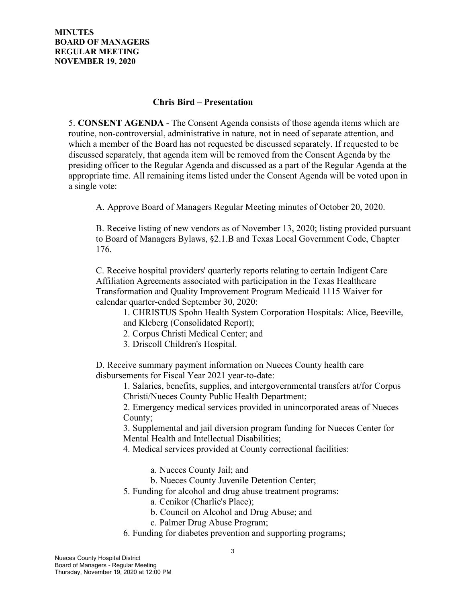#### **Chris Bird – Presentation**

5. **CONSENT AGENDA** - The Consent Agenda consists of those agenda items which are routine, non-controversial, administrative in nature, not in need of separate attention, and which a member of the Board has not requested be discussed separately. If requested to be discussed separately, that agenda item will be removed from the Consent Agenda by the presiding officer to the Regular Agenda and discussed as a part of the Regular Agenda at the appropriate time. All remaining items listed under the Consent Agenda will be voted upon in a single vote:

A. Approve Board of Managers Regular Meeting minutes of October 20, 2020.

B. Receive listing of new vendors as of November 13, 2020; listing provided pursuant to Board of Managers Bylaws, §2.1.B and Texas Local Government Code, Chapter 176.

C. Receive hospital providers' quarterly reports relating to certain Indigent Care Affiliation Agreements associated with participation in the Texas Healthcare Transformation and Quality Improvement Program Medicaid 1115 Waiver for calendar quarter-ended September 30, 2020:

1. CHRISTUS Spohn Health System Corporation Hospitals: Alice, Beeville, and Kleberg (Consolidated Report);

2. Corpus Christi Medical Center; and

3. Driscoll Children's Hospital.

D. Receive summary payment information on Nueces County health care disbursements for Fiscal Year 2021 year-to-date:

> 1. Salaries, benefits, supplies, and intergovernmental transfers at/for Corpus Christi/Nueces County Public Health Department;

> 2. Emergency medical services provided in unincorporated areas of Nueces County;

3. Supplemental and jail diversion program funding for Nueces Center for Mental Health and Intellectual Disabilities;

4. Medical services provided at County correctional facilities:

a. Nueces County Jail; and

b. Nueces County Juvenile Detention Center;

5. Funding for alcohol and drug abuse treatment programs:

a. Cenikor (Charlie's Place);

- b. Council on Alcohol and Drug Abuse; and
- c. Palmer Drug Abuse Program;
- 6. Funding for diabetes prevention and supporting programs;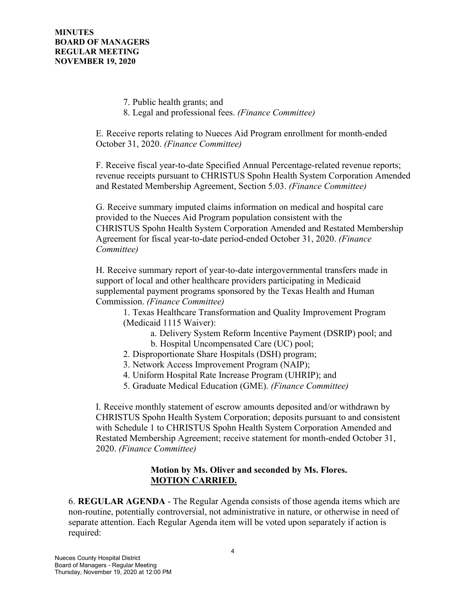7. Public health grants; and 8. Legal and professional fees. *(Finance Committee)*

E. Receive reports relating to Nueces Aid Program enrollment for month-ended October 31, 2020. *(Finance Committee)*

F. Receive fiscal year-to-date Specified Annual Percentage-related revenue reports; revenue receipts pursuant to CHRISTUS Spohn Health System Corporation Amended and Restated Membership Agreement, Section 5.03. *(Finance Committee)*

G. Receive summary imputed claims information on medical and hospital care provided to the Nueces Aid Program population consistent with the CHRISTUS Spohn Health System Corporation Amended and Restated Membership Agreement for fiscal year-to-date period-ended October 31, 2020. *(Finance Committee)*

H. Receive summary report of year-to-date intergovernmental transfers made in support of local and other healthcare providers participating in Medicaid supplemental payment programs sponsored by the Texas Health and Human Commission. *(Finance Committee)*

1. Texas Healthcare Transformation and Quality Improvement Program (Medicaid 1115 Waiver):

- a. Delivery System Reform Incentive Payment (DSRIP) pool; and b. Hospital Uncompensated Care (UC) pool;
- 2. Disproportionate Share Hospitals (DSH) program;
- 3. Network Access Improvement Program (NAIP);
- 4. Uniform Hospital Rate Increase Program (UHRIP); and
- 5. Graduate Medical Education (GME). *(Finance Committee)*

I. Receive monthly statement of escrow amounts deposited and/or withdrawn by CHRISTUS Spohn Health System Corporation; deposits pursuant to and consistent with Schedule 1 to CHRISTUS Spohn Health System Corporation Amended and Restated Membership Agreement; receive statement for month-ended October 31, 2020. *(Finance Committee)*

## **Motion by Ms. Oliver and seconded by Ms. Flores. MOTION CARRIED.**

6. **REGULAR AGENDA** - The Regular Agenda consists of those agenda items which are non-routine, potentially controversial, not administrative in nature, or otherwise in need of separate attention. Each Regular Agenda item will be voted upon separately if action is required: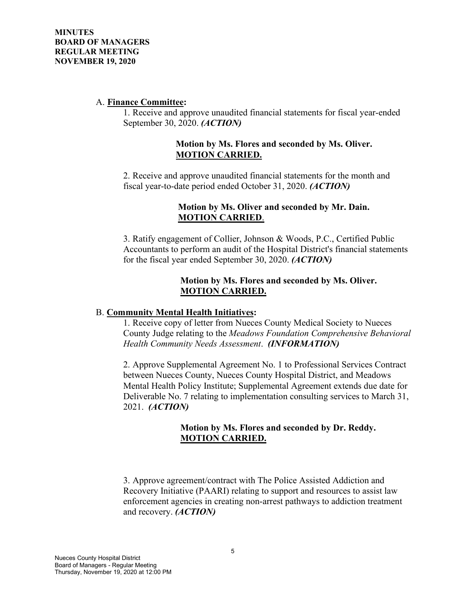#### A. **Finance Committee:**

1. Receive and approve unaudited financial statements for fiscal year-ended September 30, 2020. *(ACTION)*

#### **Motion by Ms. Flores and seconded by Ms. Oliver. MOTION CARRIED.**

2. Receive and approve unaudited financial statements for the month and fiscal year-to-date period ended October 31, 2020. *(ACTION)*

## **Motion by Ms. Oliver and seconded by Mr. Dain. MOTION CARRIED**.

3. Ratify engagement of Collier, Johnson & Woods, P.C., Certified Public Accountants to perform an audit of the Hospital District's financial statements for the fiscal year ended September 30, 2020. *(ACTION)*

## **Motion by Ms. Flores and seconded by Ms. Oliver. MOTION CARRIED.**

#### B. **Community Mental Health Initiatives:**

1. Receive copy of letter from Nueces County Medical Society to Nueces County Judge relating to the *Meadows Foundation Comprehensive Behavioral Health Community Needs Assessment*. *(INFORMATION)*

2. Approve Supplemental Agreement No. 1 to Professional Services Contract between Nueces County, Nueces County Hospital District, and Meadows Mental Health Policy Institute; Supplemental Agreement extends due date for Deliverable No. 7 relating to implementation consulting services to March 31, 2021. *(ACTION)*

# **Motion by Ms. Flores and seconded by Dr. Reddy. MOTION CARRIED.**

3. Approve agreement/contract with The Police Assisted Addiction and Recovery Initiative (PAARI) relating to support and resources to assist law enforcement agencies in creating non-arrest pathways to addiction treatment and recovery. *(ACTION)*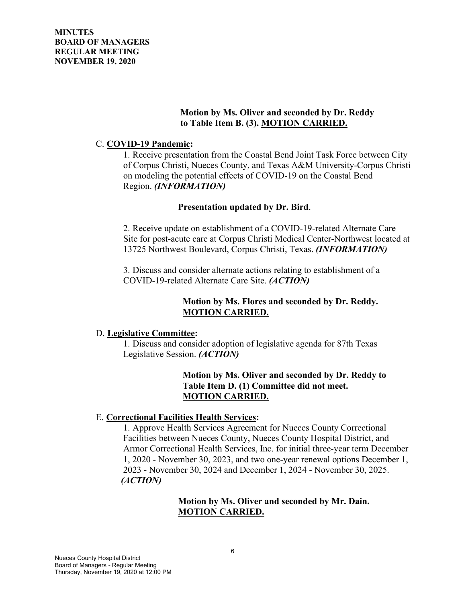## **Motion by Ms. Oliver and seconded by Dr. Reddy to Table Item B. (3). MOTION CARRIED.**

### C. **COVID-19 Pandemic:**

1. Receive presentation from the Coastal Bend Joint Task Force between City of Corpus Christi, Nueces County, and Texas A&M University-Corpus Christi on modeling the potential effects of COVID-19 on the Coastal Bend Region. *(INFORMATION)*

## **Presentation updated by Dr. Bird**.

2. Receive update on establishment of a COVID-19-related Alternate Care Site for post-acute care at Corpus Christi Medical Center-Northwest located at 13725 Northwest Boulevard, Corpus Christi, Texas. *(INFORMATION)*

3. Discuss and consider alternate actions relating to establishment of a COVID-19-related Alternate Care Site. *(ACTION)*

# **Motion by Ms. Flores and seconded by Dr. Reddy. MOTION CARRIED.**

#### D. **Legislative Committee:**

1. Discuss and consider adoption of legislative agenda for 87th Texas Legislative Session. *(ACTION)*

# **Motion by Ms. Oliver and seconded by Dr. Reddy to Table Item D. (1) Committee did not meet. MOTION CARRIED.**

# E. **Correctional Facilities Health Services:**

1. Approve Health Services Agreement for Nueces County Correctional Facilities between Nueces County, Nueces County Hospital District, and Armor Correctional Health Services, Inc. for initial three-year term December 1, 2020 - November 30, 2023, and two one-year renewal options December 1, 2023 - November 30, 2024 and December 1, 2024 - November 30, 2025. *(ACTION)*

# **Motion by Ms. Oliver and seconded by Mr. Dain. MOTION CARRIED.**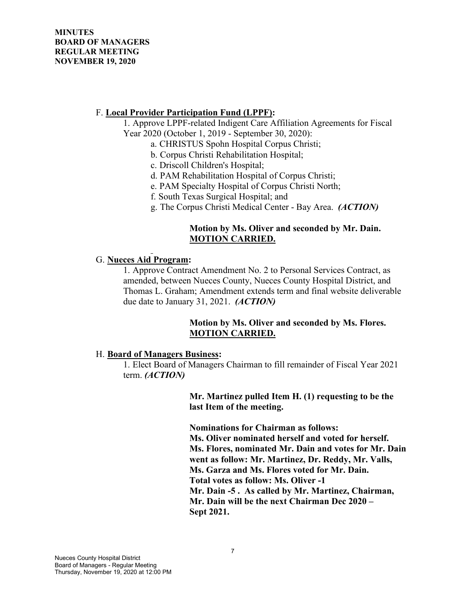## F. **Local Provider Participation Fund (LPPF):**

1. Approve LPPF-related Indigent Care Affiliation Agreements for Fiscal Year 2020 (October 1, 2019 - September 30, 2020):

- a. CHRISTUS Spohn Hospital Corpus Christi;
- b. Corpus Christi Rehabilitation Hospital;
- c. Driscoll Children's Hospital;
- d. PAM Rehabilitation Hospital of Corpus Christi;
- e. PAM Specialty Hospital of Corpus Christi North;
- f. South Texas Surgical Hospital; and
- g. The Corpus Christi Medical Center Bay Area. *(ACTION)*

## **Motion by Ms. Oliver and seconded by Mr. Dain. MOTION CARRIED.**

# G. **Nueces Aid Program:**

1. Approve Contract Amendment No. 2 to Personal Services Contract, as amended, between Nueces County, Nueces County Hospital District, and Thomas L. Graham; Amendment extends term and final website deliverable due date to January 31, 2021. *(ACTION)*

## **Motion by Ms. Oliver and seconded by Ms. Flores. MOTION CARRIED.**

# H. **Board of Managers Business:**

1. Elect Board of Managers Chairman to fill remainder of Fiscal Year 2021 term. *(ACTION)*

> **Mr. Martinez pulled Item H. (1) requesting to be the last Item of the meeting.**

 **Nominations for Chairman as follows: Ms. Oliver nominated herself and voted for herself. Ms. Flores, nominated Mr. Dain and votes for Mr. Dain went as follow: Mr. Martinez, Dr. Reddy, Mr. Valls, Ms. Garza and Ms. Flores voted for Mr. Dain. Total votes as follow: Ms. Oliver -1 Mr. Dain -5 . As called by Mr. Martinez, Chairman, Mr. Dain will be the next Chairman Dec 2020 – Sept 2021.**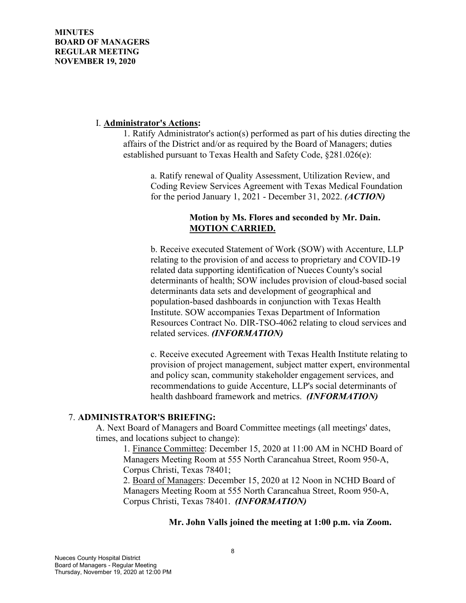#### I. **Administrator's Actions:**

1. Ratify Administrator's action(s) performed as part of his duties directing the affairs of the District and/or as required by the Board of Managers; duties established pursuant to Texas Health and Safety Code, §281.026(e):

a. Ratify renewal of Quality Assessment, Utilization Review, and Coding Review Services Agreement with Texas Medical Foundation for the period January 1, 2021 - December 31, 2022. *(ACTION)*

## **Motion by Ms. Flores and seconded by Mr. Dain. MOTION CARRIED.**

b. Receive executed Statement of Work (SOW) with Accenture, LLP relating to the provision of and access to proprietary and COVID-19 related data supporting identification of Nueces County's social determinants of health; SOW includes provision of cloud-based social determinants data sets and development of geographical and population-based dashboards in conjunction with Texas Health Institute. SOW accompanies Texas Department of Information Resources Contract No. DIR-TSO-4062 relating to cloud services and related services. *(INFORMATION)*

c. Receive executed Agreement with Texas Health Institute relating to provision of project management, subject matter expert, environmental and policy scan, community stakeholder engagement services, and recommendations to guide Accenture, LLP's social determinants of health dashboard framework and metrics. *(INFORMATION)*

#### 7. **ADMINISTRATOR'S BRIEFING:**

A. Next Board of Managers and Board Committee meetings (all meetings' dates, times, and locations subject to change):

1. Finance Committee: December 15, 2020 at 11:00 AM in NCHD Board of Managers Meeting Room at 555 North Carancahua Street, Room 950-A, Corpus Christi, Texas 78401;

2. Board of Managers: December 15, 2020 at 12 Noon in NCHD Board of Managers Meeting Room at 555 North Carancahua Street, Room 950-A, Corpus Christi, Texas 78401. *(INFORMATION)*

#### **Mr. John Valls joined the meeting at 1:00 p.m. via Zoom.**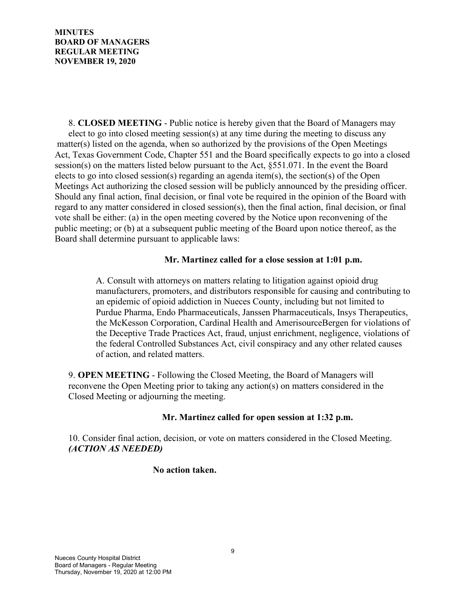8. **CLOSED MEETING** - Public notice is hereby given that the Board of Managers may elect to go into closed meeting session(s) at any time during the meeting to discuss any matter(s) listed on the agenda, when so authorized by the provisions of the Open Meetings Act, Texas Government Code, Chapter 551 and the Board specifically expects to go into a closed session(s) on the matters listed below pursuant to the Act, §551.071. In the event the Board elects to go into closed session(s) regarding an agenda item(s), the section(s) of the Open Meetings Act authorizing the closed session will be publicly announced by the presiding officer. Should any final action, final decision, or final vote be required in the opinion of the Board with regard to any matter considered in closed session(s), then the final action, final decision, or final vote shall be either: (a) in the open meeting covered by the Notice upon reconvening of the public meeting; or (b) at a subsequent public meeting of the Board upon notice thereof, as the Board shall determine pursuant to applicable laws:

## **Mr. Martinez called for a close session at 1:01 p.m.**

A. Consult with attorneys on matters relating to litigation against opioid drug manufacturers, promoters, and distributors responsible for causing and contributing to an epidemic of opioid addiction in Nueces County, including but not limited to Purdue Pharma, Endo Pharmaceuticals, Janssen Pharmaceuticals, Insys Therapeutics, the McKesson Corporation, Cardinal Health and AmerisourceBergen for violations of the Deceptive Trade Practices Act, fraud, unjust enrichment, negligence, violations of the federal Controlled Substances Act, civil conspiracy and any other related causes of action, and related matters.

9. **OPEN MEETING** - Following the Closed Meeting, the Board of Managers will reconvene the Open Meeting prior to taking any action(s) on matters considered in the Closed Meeting or adjourning the meeting.

#### **Mr. Martinez called for open session at 1:32 p.m.**

10. Consider final action, decision, or vote on matters considered in the Closed Meeting. *(ACTION AS NEEDED)*

#### **No action taken.**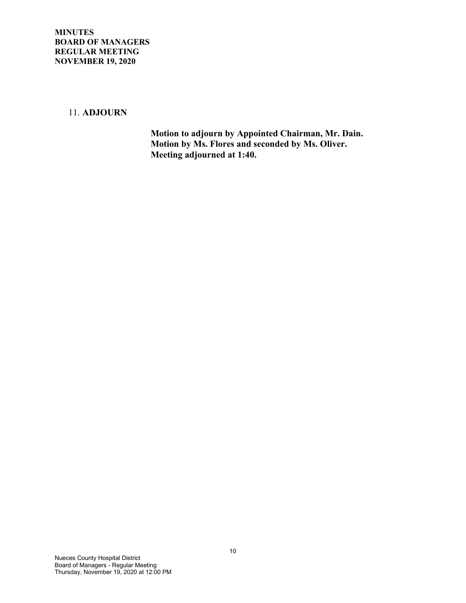### 11. **ADJOURN**

 **Motion to adjourn by Appointed Chairman, Mr. Dain. Motion by Ms. Flores and seconded by Ms. Oliver. Meeting adjourned at 1:40.**